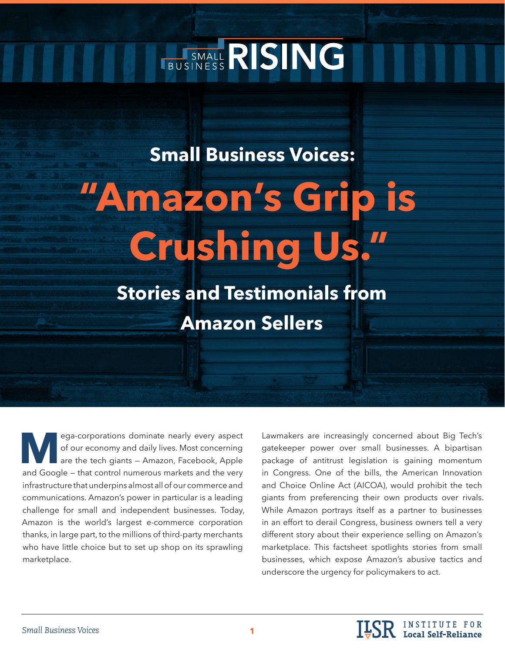# **BUSINESS RISING**

# **Small Business Voices:**

# **"Amazon's Grip is Crushing Us."**

**Stories and Testimonials from Amazon Sellers**

ega-corporations dominate nearly every aspect<br>of our economy and daily lives. Most concerning<br>are the tech giants – Amazon, Facebook, Apple<br>and Google – that control numerous markets and the very of our economy and daily lives. Most concerning are the tech giants — Amazon, Facebook, Apple and Google — that control numerous markets and the very infrastructure that underpins almost all of our commerce and communications. Amazon's power in particular is a leading challenge for small and independent businesses. Today, Amazon is the world's largest e-commerce corporation thanks, in large part, to the millions of third-party merchants who have little choice but to set up shop on its sprawling marketplace.

Lawmakers are increasingly concerned about Big Tech's gatekeeper power over small businesses. A bipartisan package of antitrust legislation is gaining momentum in Congress. One of the bills, the American Innovation and Choice Online Act (AICOA), would prohibit the tech giants from preferencing their own products over rivals. While Amazon portrays itself as a partner to businesses in an effort to derail Congress, business owners tell a very different story about their experience selling on Amazon's marketplace. This factsheet spotlights stories from small businesses, which expose Amazon's abusive tactics and underscore the urgency for policymakers to act.

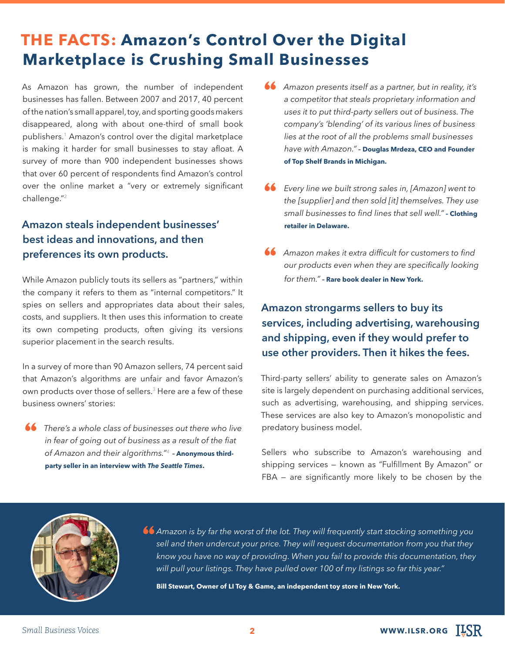### **THE FACTS: Amazon's Control Over the Digital Marketplace is Crushing Small Businesses**

As Amazon has grown, the number of independent businesses has fallen. Between 2007 and 2017, 40 percent of the nation's small apparel, toy, and sporting goods makers disappeared, along with about one-third of small book publishers.1 Amazon's control over the digital marketplace is making it harder for small businesses to stay afloat. A survey of more than 900 independent businesses shows that over 60 percent of respondents find Amazon's control over the online market a "very or extremely significant challenge."<sup>2</sup>

### **Amazon steals independent businesses' best ideas and innovations, and then preferences its own products.**

While Amazon publicly touts its sellers as "partners," within the company it refers to them as "internal competitors." It spies on sellers and appropriates data about their sales, costs, and suppliers. It then uses this information to create its own competing products, often giving its versions superior placement in the search results.

In a survey of more than 90 Amazon sellers, 74 percent said that Amazon's algorithms are unfair and favor Amazon's own products over those of sellers.<sup>3</sup> Here are a few of these business owners' stories:

" *There's a whole class of businesses out there who live in fear of going out of business as a result of the fiat of Amazon and their algorithms."<sup>4</sup>***– Anonymous thirdparty seller in an interview with** *The Seattle Times***.**

- " *Amazon presents itself as a partner, but in reality, it's a competitor that steals proprietary information and uses it to put third-party sellers out of business. The company's 'blending' of its various lines of business lies at the root of all the problems small businesses have with Amazon."* **– Douglas Mrdeza, CEO and Founder of Top Shelf Brands in Michigan.**
- " *Every line we built strong sales in, [Amazon] went to the [supplier] and then sold [it] themselves. They use small businesses to find lines that sell well."* **– Clothing retailer in Delaware.**
- " *Amazon makes it extra difficult for customers to find our products even when they are specifically looking for them."* **– Rare book dealer in New York.**

### **Amazon strongarms sellers to buy its services, including advertising, warehousing and shipping, even if they would prefer to use other providers. Then it hikes the fees.**

Third-party sellers' ability to generate sales on Amazon's site is largely dependent on purchasing additional services, such as advertising, warehousing, and shipping services. These services are also key to Amazon's monopolistic and predatory business model.

Sellers who subscribe to Amazon's warehousing and shipping services — known as "Fulfillment By Amazon" or FBA – are significantly more likely to be chosen by the



"*Amazon is by far the worst of the lot. They will frequently start stocking something you sell and then undercut your price. They will request documentation from you that they know you have no way of providing. When you fail to provide this documentation, they will pull your listings. They have pulled over 100 of my listings so far this year."*

**Bill Stewart, Owner of LI Toy & Game, an independent toy store in New York.**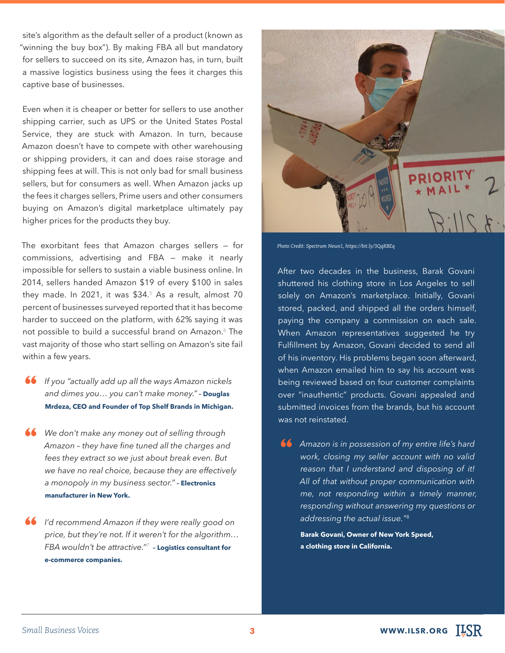site's algorithm as the default seller of a product (known as "winning the buy box"). By making FBA all but mandatory for sellers to succeed on its site, Amazon has, in turn, built a massive logistics business using the fees it charges this captive base of businesses.

Even when it is cheaper or better for sellers to use another shipping carrier, such as UPS or the United States Postal Service, they are stuck with Amazon. In turn, because Amazon doesn't have to compete with other warehousing or shipping providers, it can and does raise storage and shipping fees at will. This is not only bad for small business sellers, but for consumers as well. When Amazon jacks up the fees it charges sellers, Prime users and other consumers buying on Amazon's digital marketplace ultimately pay higher prices for the products they buy.

The exorbitant fees that Amazon charges sellers — for commissions, advertising and FBA — make it nearly impossible for sellers to sustain a viable business online. In 2014, sellers handed Amazon \$19 of every \$100 in sales they made. In 2021, it was  $$34.<sup>5</sup>$  As a result, almost 70 percent of businesses surveyed reported that it has become harder to succeed on the platform, with 62% saying it was not possible to build a successful brand on Amazon.<sup>6</sup> The vast majority of those who start selling on Amazon's site fail within a few years.

- " *If you "actually add up all the ways Amazon nickels and dimes you… you can't make money."* **Douglas Mrdeza, CEO and Founder of Top Shelf Brands in Michigan.**
- " *We don't make any money out of selling through Amazon they have fine tuned all the charges and fees they extract so we just about break even. But we have no real choice, because they are effectively a monopoly in my business sector."* **– Electronics manufacturer in New York.**
- $\bigotimes$  *I'd recommend Amazon if they were really good on price, but they're not. If it weren't for the algorithm… FBA wouldn't be attractive."<sup>7</sup>* **– Logistics consultant for e-commerce companies.**



*Photo Credit: Spectrum News1, https://bit.ly/3QqRBEq*

After two decades in the business, Barak Govani shuttered his clothing store in Los Angeles to sell solely on Amazon's marketplace. Initially, Govani stored, packed, and shipped all the orders himself, paying the company a commission on each sale. When Amazon representatives suggested he try Fulfillment by Amazon, Govani decided to send all of his inventory. His problems began soon afterward, when Amazon emailed him to say his account was being reviewed based on four customer complaints over "inauthentic" products. Govani appealed and submitted invoices from the brands, but his account was not reinstated.

" *Amazon is in possession of my entire life's hard work, closing my seller account with no valid reason that I understand and disposing of it! All of that without proper communication with me, not responding within a timely manner, responding without answering my questions or addressing the actual issue."*<sup>8</sup>

**Barak Govani, Owner of New York Speed, a clothing store in California.**